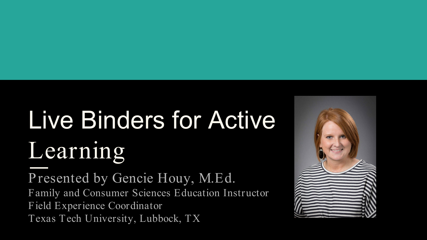# Live Binders for Active Learning

Presented by Gencie Houy, M.Ed. Family and Consumer Sciences Education Instructor Field Experience Coordinator Texas Tech University, Lubbock, TX

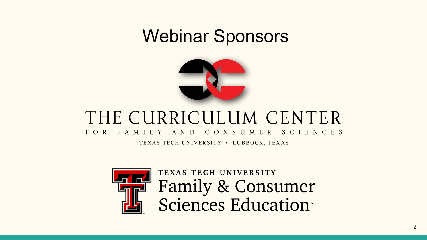### Webinar Sponsors



#### THE CURRICULUM CENTER FOR FAMILY AND C O N S U M E R SCIENCES

TEXAS TECH UNIVERSITY . LUBBOCK, TEXAS



TEXAS TECH UNIVERSITY Family & Consumer<br>Sciences Education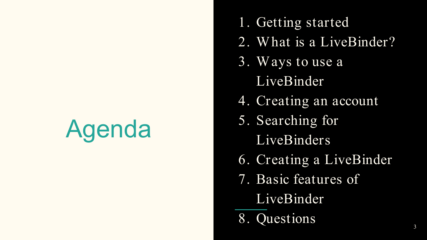## Agenda

- 1. Getting started
- 2. W hat is a LiveBinder?
- 3. W ays to use a LiveBinder
- 4. Creating an account
- 5. Searching for
	- LiveBinders
- 6. Creating a LiveBinder
- 7. Basic features of
	- LiveBinder
- 8. Questions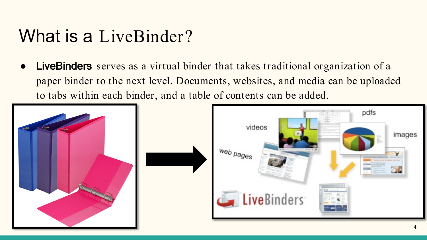### What is a LiveBinder?

**LiveBinders** serves as a virtual binder that takes traditional organization of a paper binder to the next level. Documents, websites, and media can be uploaded to tabs within each binder, and a table of contents can be added.

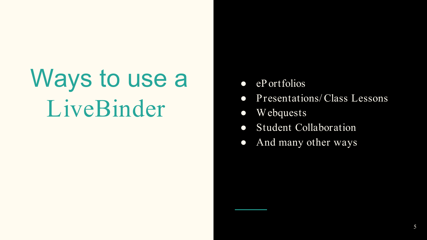## Ways to use a LiveBinder

- $\bullet$  eP ortfolios
- Presentations/ Class Lessons
- Webquests
- Student Collaboration
- And many other ways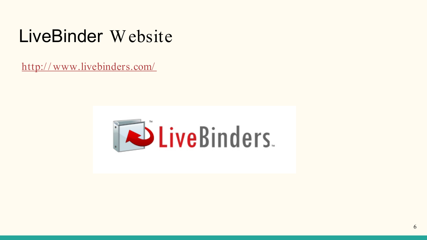### LiveBinder Website

[http:/ / www.livebinders.com/](http://www.livebinders.com/)

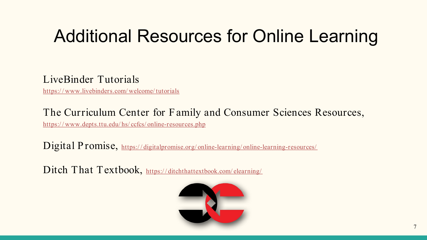### Additional Resources for Online Learning

#### LiveBinder Tutorials

[https:/ / www.livebinders.com/ welcome/ tutorials](https://www.livebinders.com/welcome/tutorials)

#### The Curriculum Center for Family and Consumer Sciences Resources,

https://www.depts.ttu.edu/hs/ccfcs/online-resources.php

Digital Promise, https://digitalpromise.org/online-learning/online-learning-resources/

Ditch That Textbook, https://ditchthattextbook.com/elearning/